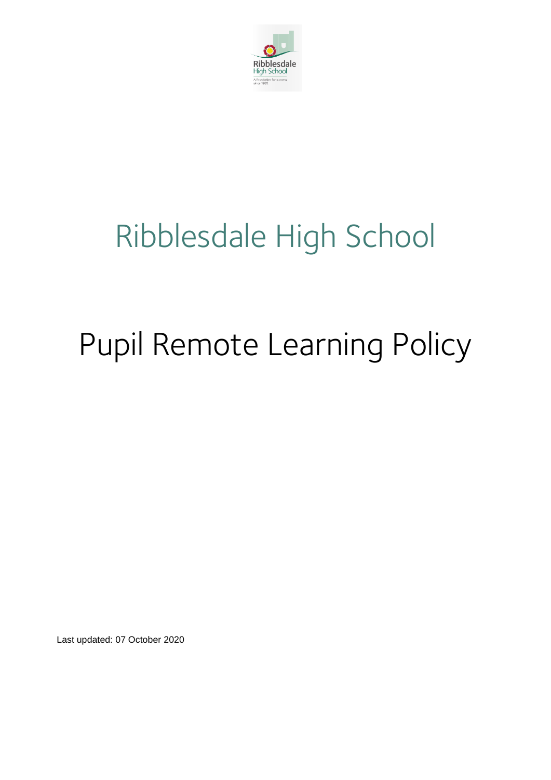

# Ribblesdale High School

# Pupil Remote Learning Policy

Last updated: 07 October 2020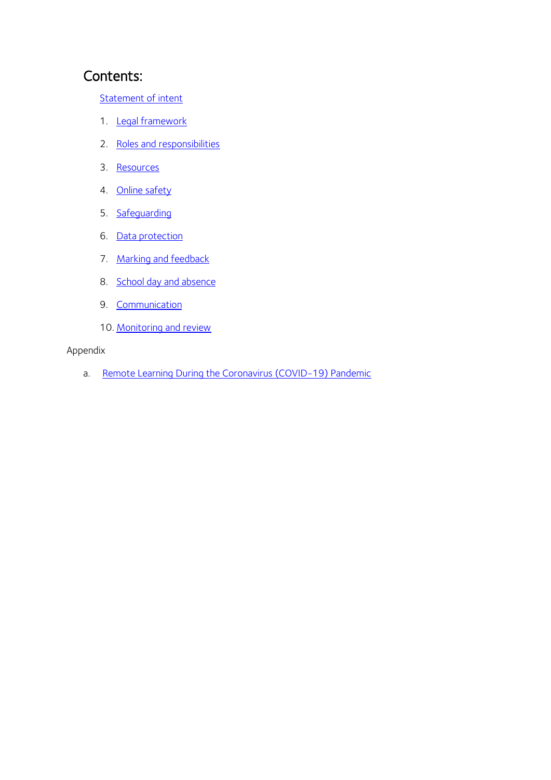# Contents:

[Statement of intent](#page-2-0)

- 1. [Legal framework](#page-3-0)
- 2. [Roles and responsibilities](#page-3-1)
- 3. [Resources](#page-6-0)
- 4. [Online safety](#page-8-0)
- 5. [Safeguarding](#page-9-0)
- 6. [Data protection](#page-9-1)
- 7. Marking and feedback
- 8. School [day and absence](#page-10-0)
- 9. [Communication](#page-11-0)
- 10. [Monitoring and review](#page-11-1)

#### Appendix

a. [Remote Learning During the Coronavirus \(COVID-19\) Pandemic](#page-12-0)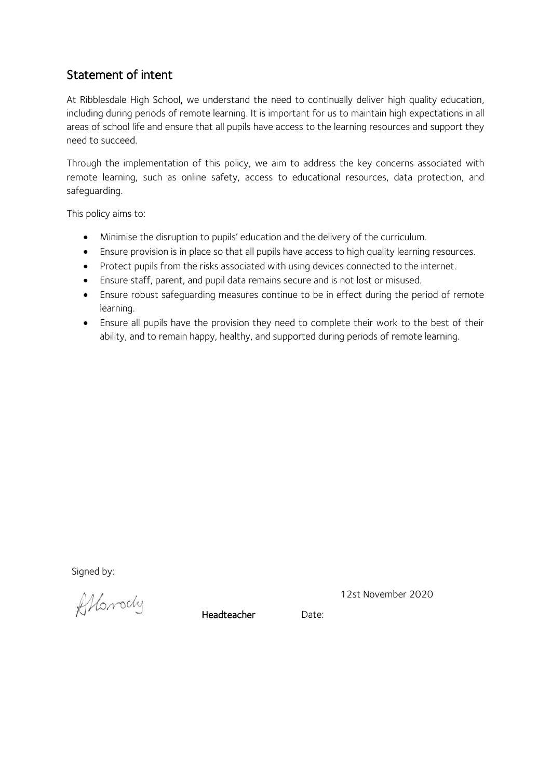# <span id="page-2-0"></span>Statement of intent

At Ribblesdale High School, we understand the need to continually deliver high quality education, including during periods of remote learning. It is important for us to maintain high expectations in all areas of school life and ensure that all pupils have access to the learning resources and support they need to succeed.

Through the implementation of this policy, we aim to address the key concerns associated with remote learning, such as online safety, access to educational resources, data protection, and safeguarding.

This policy aims to:

- Minimise the disruption to pupils' education and the delivery of the curriculum.
- Ensure provision is in place so that all pupils have access to high quality learning resources.
- Protect pupils from the risks associated with using devices connected to the internet.
- Ensure staff, parent, and pupil data remains secure and is not lost or misused.
- Ensure robust safeguarding measures continue to be in effect during the period of remote learning.
- Ensure all pupils have the provision they need to complete their work to the best of their ability, and to remain happy, healthy, and supported during periods of remote learning.

Signed by:

Albrody

12st November 2020

Headteacher Date: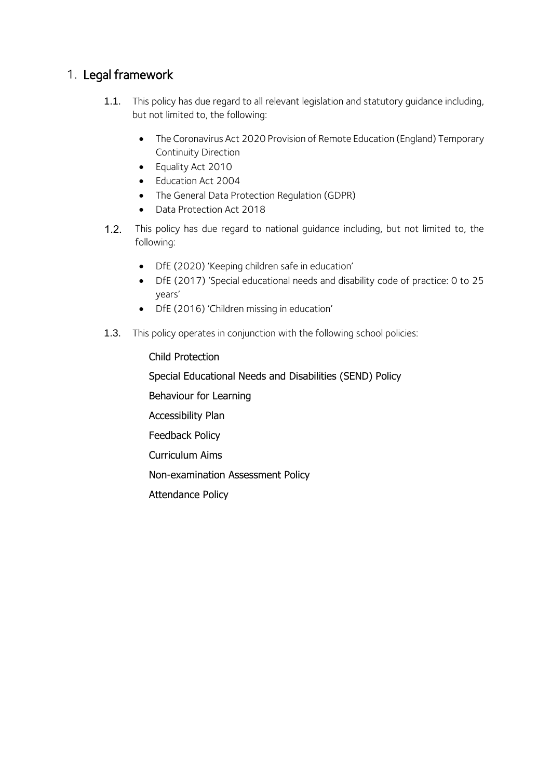## <span id="page-3-0"></span>1. Legal framework

- 1.1. This policy has due regard to all relevant legislation and statutory quidance including, but not limited to, the following:
	- The Coronavirus Act 2020 Provision of Remote Education (England) Temporary Continuity Direction
	- Equality Act 2010
	- Education Act 2004
	- The General Data Protection Regulation (GDPR)
	- Data Protection Act 2018
- $1.2.$ This policy has due regard to national guidance including, but not limited to, the following:
	- DfE (2020) 'Keeping children safe in education'
	- DfE (2017) 'Special educational needs and disability code of practice: 0 to 25 years'
	- DfE (2016) 'Children missing in education'
- 1.3. This policy operates in conjunction with the following school policies:

#### Child Protection

Special Educational Needs and Disabilities (SEND) Policy

Behaviour for Learning

Accessibility Plan

Feedback Policy

Curriculum Aims

Non-examination Assessment Policy

<span id="page-3-1"></span>Attendance Policy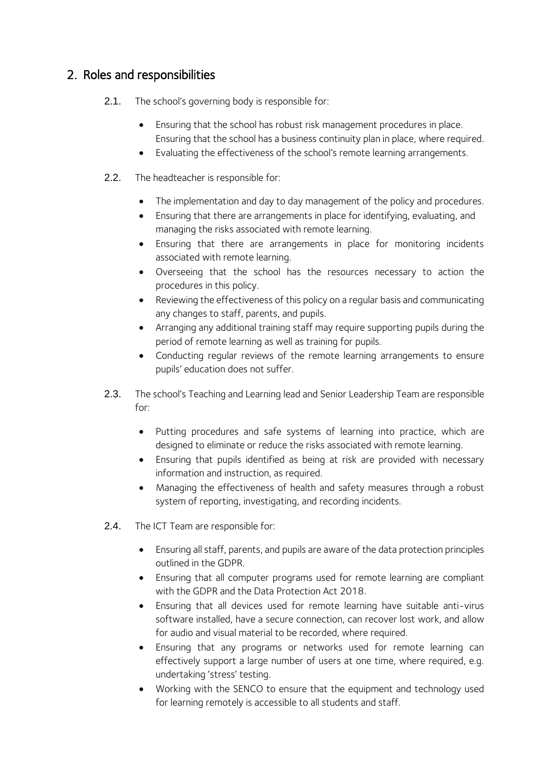## 2. Roles and responsibilities

- 2.1. The school's governing body is responsible for:
	- Ensuring that the school has robust risk management procedures in place. Ensuring that the school has a business continuity plan in place, where required.
	- Evaluating the effectiveness of the school's remote learning arrangements.
- 2.2. The headteacher is responsible for:
	- The implementation and day to day management of the policy and procedures.
	- Ensuring that there are arrangements in place for identifying, evaluating, and managing the risks associated with remote learning.
	- Ensuring that there are arrangements in place for monitoring incidents associated with remote learning.
	- Overseeing that the school has the resources necessary to action the procedures in this policy.
	- Reviewing the effectiveness of this policy on a regular basis and communicating any changes to staff, parents, and pupils.
	- Arranging any additional training staff may require supporting pupils during the period of remote learning as well as training for pupils.
	- Conducting regular reviews of the remote learning arrangements to ensure pupils' education does not suffer.
- 2.3. The school's Teaching and Learning lead and Senior Leadership Team are responsible for:
	- Putting procedures and safe systems of learning into practice, which are designed to eliminate or reduce the risks associated with remote learning.
	- Ensuring that pupils identified as being at risk are provided with necessary information and instruction, as required.
	- Managing the effectiveness of health and safety measures through a robust system of reporting, investigating, and recording incidents.
- 2.4. The ICT Team are responsible for:
	- Ensuring all staff, parents, and pupils are aware of the data protection principles outlined in the GDPR.
	- Ensuring that all computer programs used for remote learning are compliant with the GDPR and the Data Protection Act 2018.
	- Ensuring that all devices used for remote learning have suitable anti-virus software installed, have a secure connection, can recover lost work, and allow for audio and visual material to be recorded, where required.
	- Ensuring that any programs or networks used for remote learning can effectively support a large number of users at one time, where required, e.g. undertaking 'stress' testing.
	- Working with the SENCO to ensure that the equipment and technology used for learning remotely is accessible to all students and staff.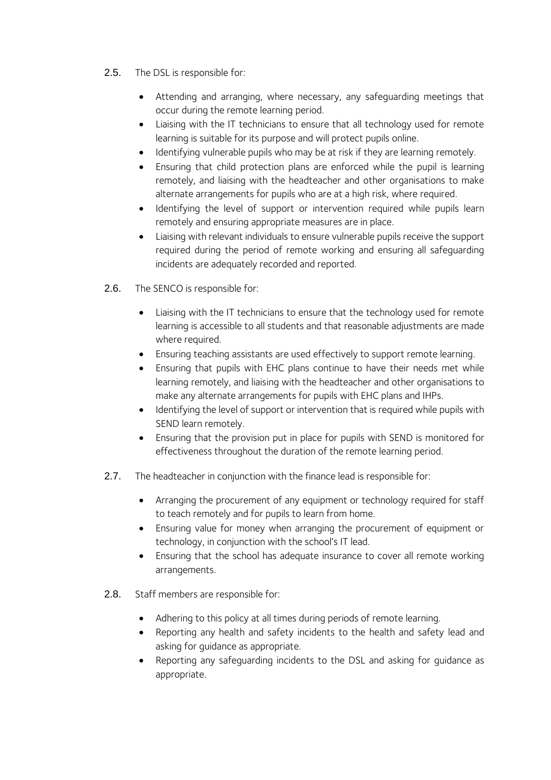- 2.5. The DSL is responsible for:
	- Attending and arranging, where necessary, any safeguarding meetings that occur during the remote learning period.
	- Liaising with the IT technicians to ensure that all technology used for remote learning is suitable for its purpose and will protect pupils online.
	- Identifying vulnerable pupils who may be at risk if they are learning remotely.
	- Ensuring that child protection plans are enforced while the pupil is learning remotely, and liaising with the headteacher and other organisations to make alternate arrangements for pupils who are at a high risk, where required.
	- Identifying the level of support or intervention required while pupils learn remotely and ensuring appropriate measures are in place.
	- Liaising with relevant individuals to ensure vulnerable pupils receive the support required during the period of remote working and ensuring all safeguarding incidents are adequately recorded and reported.
- 2.6. The SENCO is responsible for:
	- Liaising with the IT technicians to ensure that the technology used for remote learning is accessible to all students and that reasonable adjustments are made where required.
	- Ensuring teaching assistants are used effectively to support remote learning.
	- Ensuring that pupils with EHC plans continue to have their needs met while learning remotely, and liaising with the headteacher and other organisations to make any alternate arrangements for pupils with EHC plans and IHPs.
	- Identifying the level of support or intervention that is required while pupils with SEND learn remotely.
	- Ensuring that the provision put in place for pupils with SEND is monitored for effectiveness throughout the duration of the remote learning period.
- 2.7. The headteacher in conjunction with the finance lead is responsible for:
	- Arranging the procurement of any equipment or technology required for staff to teach remotely and for pupils to learn from home.
	- Ensuring value for money when arranging the procurement of equipment or technology, in conjunction with the school's IT lead.
	- Ensuring that the school has adequate insurance to cover all remote working arrangements.
- 2.8. Staff members are responsible for:
	- Adhering to this policy at all times during periods of remote learning.
	- Reporting any health and safety incidents to the health and safety lead and asking for guidance as appropriate.
	- Reporting any safeguarding incidents to the DSL and asking for guidance as appropriate.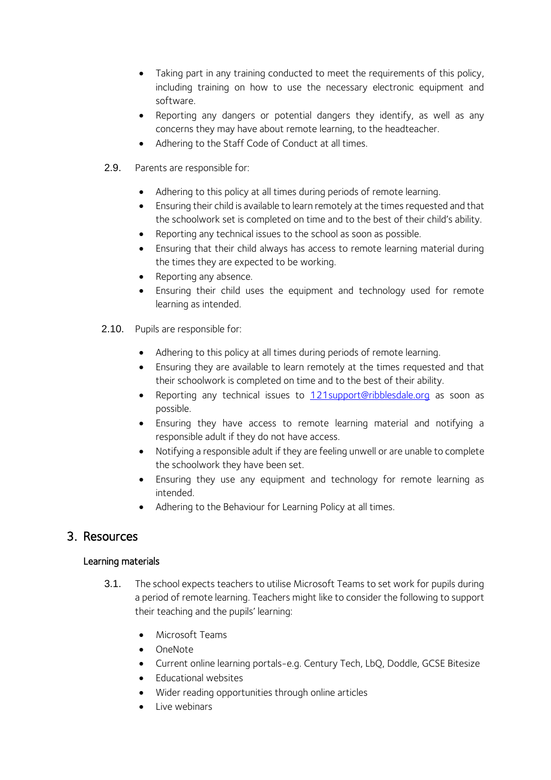- Taking part in any training conducted to meet the requirements of this policy, including training on how to use the necessary electronic equipment and software.
- Reporting any dangers or potential dangers they identify, as well as any concerns they may have about remote learning, to the headteacher.
- Adhering to the Staff Code of Conduct at all times.
- 2.9. Parents are responsible for:
	- Adhering to this policy at all times during periods of remote learning.
	- Ensuring their child is available to learn remotely at the times requested and that the schoolwork set is completed on time and to the best of their child's ability.
	- Reporting any technical issues to the school as soon as possible.
	- Ensuring that their child always has access to remote learning material during the times they are expected to be working.
	- Reporting any absence.
	- Ensuring their child uses the equipment and technology used for remote learning as intended.
- 2.10. Pupils are responsible for:
	- Adhering to this policy at all times during periods of remote learning.
	- Ensuring they are available to learn remotely at the times requested and that their schoolwork is completed on time and to the best of their ability.
	- Reporting any technical issues to **[121support@ribblesdale.org](mailto:121support@ribblesdale.org)** as soon as possible.
	- Ensuring they have access to remote learning material and notifying a responsible adult if they do not have access.
	- Notifying a responsible adult if they are feeling unwell or are unable to complete the schoolwork they have been set.
	- Ensuring they use any equipment and technology for remote learning as intended.
	- Adhering to the Behaviour for Learning Policy at all times.

#### <span id="page-6-0"></span>3. Resources

#### Learning materials

- 3.1. The school expects teachers to utilise Microsoft Teams to set work for pupils during a period of remote learning. Teachers might like to consider the following to support their teaching and the pupils' learning:
	- Microsoft Teams
	- OneNote
	- Current online learning portals-e.g. Century Tech, LbQ, Doddle, GCSE Bitesize
	- Educational websites
	- Wider reading opportunities through online articles
	- Live webinars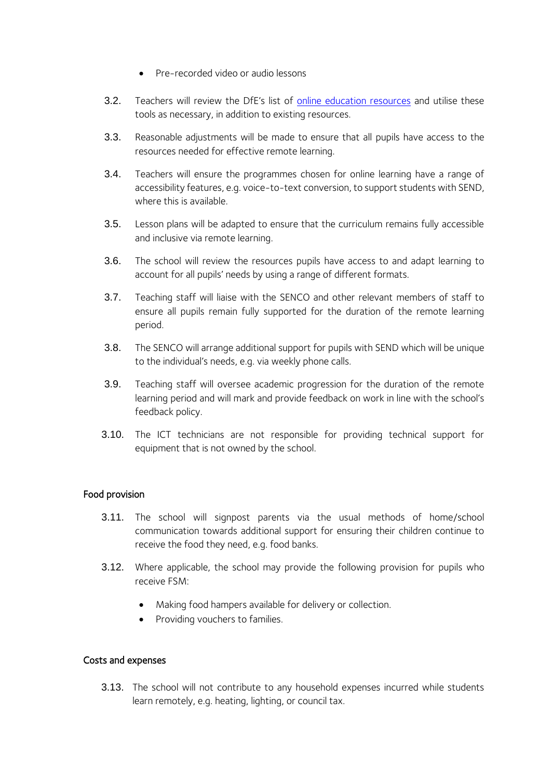- Pre-recorded video or audio lessons
- 3.2. Teachers will review the DfE's list of [online education resources](https://www.gov.uk/government/publications/coronavirus-covid-19-online-education-resources) and utilise these tools as necessary, in addition to existing resources.
- 3.3. Reasonable adjustments will be made to ensure that all pupils have access to the resources needed for effective remote learning.
- 3.4. Teachers will ensure the programmes chosen for online learning have a range of accessibility features, e.g. voice-to-text conversion, to support students with SEND, where this is available.
- 3.5. Lesson plans will be adapted to ensure that the curriculum remains fully accessible and inclusive via remote learning.
- 3.6. The school will review the resources pupils have access to and adapt learning to account for all pupils' needs by using a range of different formats.
- 3.7. Teaching staff will liaise with the SENCO and other relevant members of staff to ensure all pupils remain fully supported for the duration of the remote learning period.
- 3.8. The SENCO will arrange additional support for pupils with SEND which will be unique to the individual's needs, e.g. via weekly phone calls.
- 3.9. Teaching staff will oversee academic progression for the duration of the remote learning period and will mark and provide feedback on work in line with the school's feedback policy.
- 3.10. The ICT technicians are not responsible for providing technical support for equipment that is not owned by the school.

#### Food provision

- 3.11. The school will signpost parents via the usual methods of home/school communication towards additional support for ensuring their children continue to receive the food they need, e.g. food banks.
- 3.12. Where applicable, the school may provide the following provision for pupils who receive FSM:
	- Making food hampers available for delivery or collection.
	- Providing vouchers to families.

#### Costs and expenses

3.13. The school will not contribute to any household expenses incurred while students learn remotely, e.g. heating, lighting, or council tax.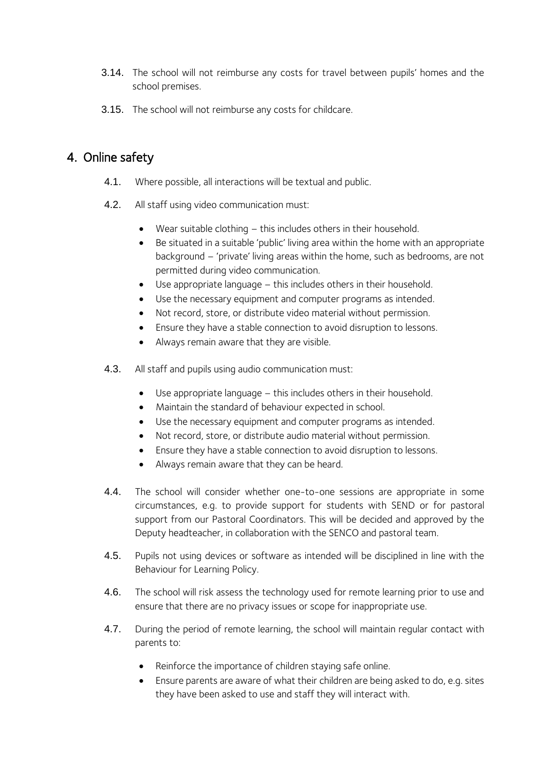- 3.14. The school will not reimburse any costs for travel between pupils' homes and the school premises.
- 3.15. The school will not reimburse any costs for childcare.

# <span id="page-8-0"></span>4. Online safety

- 4.1. Where possible, all interactions will be textual and public.
- 4.2. All staff using video communication must:
	- Wear suitable clothing  $-$  this includes others in their household.
	- Be situated in a suitable 'public' living area within the home with an appropriate background – 'private' living areas within the home, such as bedrooms, are not permitted during video communication.
	- Use appropriate language this includes others in their household.
	- Use the necessary equipment and computer programs as intended.
	- Not record, store, or distribute video material without permission.
	- Ensure they have a stable connection to avoid disruption to lessons.
	- Always remain aware that they are visible.
- 4.3. All staff and pupils using audio communication must:
	- Use appropriate language this includes others in their household.
	- Maintain the standard of behaviour expected in school.
	- Use the necessary equipment and computer programs as intended.
	- Not record, store, or distribute audio material without permission.
	- Ensure they have a stable connection to avoid disruption to lessons.
	- Always remain aware that they can be heard.
- 4.4. The school will consider whether one-to-one sessions are appropriate in some circumstances, e.g. to provide support for students with SEND or for pastoral support from our Pastoral Coordinators. This will be decided and approved by the Deputy headteacher, in collaboration with the SENCO and pastoral team.
- 4.5. Pupils not using devices or software as intended will be disciplined in line with the Behaviour for Learning Policy.
- 4.6. The school will risk assess the technology used for remote learning prior to use and ensure that there are no privacy issues or scope for inappropriate use.
- 4.7. During the period of remote learning, the school will maintain regular contact with parents to:
	- Reinforce the importance of children staying safe online.
	- Ensure parents are aware of what their children are being asked to do, e.g. sites they have been asked to use and staff they will interact with.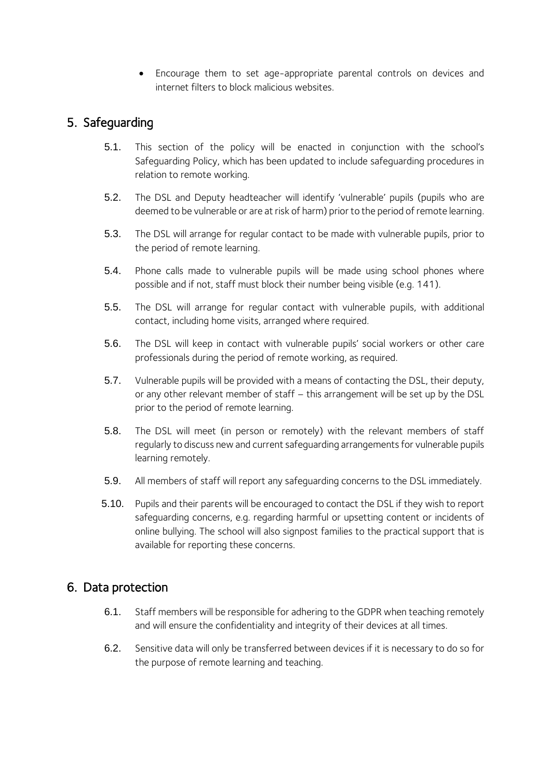• Encourage them to set age-appropriate parental controls on devices and internet filters to block malicious websites.

## <span id="page-9-0"></span>5. Safeguarding

- 5.1. This section of the policy will be enacted in conjunction with the school's Safeguarding Policy, which has been updated to include safeguarding procedures in relation to remote working.
- 5.2. The DSL and Deputy headteacher will identify 'vulnerable' pupils (pupils who are deemed to be vulnerable or are at risk of harm) prior to the period of remote learning.
- 5.3. The DSL will arrange for regular contact to be made with vulnerable pupils, prior to the period of remote learning.
- 5.4. Phone calls made to vulnerable pupils will be made using school phones where possible and if not, staff must block their number being visible (e.g. 141).
- 5.5. The DSL will arrange for regular contact with vulnerable pupils, with additional contact, including home visits, arranged where required.
- 5.6. The DSL will keep in contact with vulnerable pupils' social workers or other care professionals during the period of remote working, as required.
- 5.7. Vulnerable pupils will be provided with a means of contacting the DSL, their deputy, or any other relevant member of staff – this arrangement will be set up by the DSL prior to the period of remote learning.
- 5.8. The DSL will meet (in person or remotely) with the relevant members of staff regularly to discuss new and current safeguarding arrangements for vulnerable pupils learning remotely.
- 5.9. All members of staff will report any safeguarding concerns to the DSL immediately.
- 5.10. Pupils and their parents will be encouraged to contact the DSL if they wish to report safeguarding concerns, e.g. regarding harmful or upsetting content or incidents of online bullying. The school will also signpost families to the practical support that is available for reporting these concerns.

### <span id="page-9-1"></span>6. Data protection

- 6.1. Staff members will be responsible for adhering to the GDPR when teaching remotely and will ensure the confidentiality and integrity of their devices at all times.
- 6.2. Sensitive data will only be transferred between devices if it is necessary to do so for the purpose of remote learning and teaching.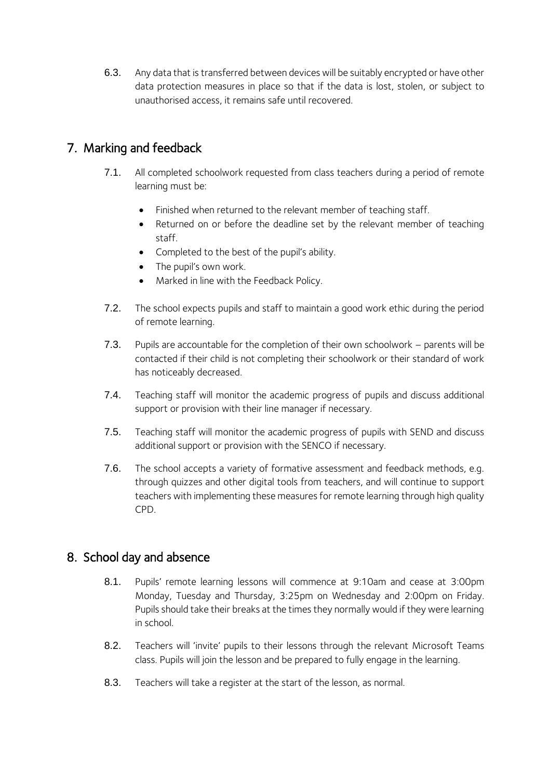6.3. Any data that is transferred between devices will be suitably encrypted or have other data protection measures in place so that if the data is lost, stolen, or subject to unauthorised access, it remains safe until recovered.

# 7. Marking and feedback

- 7.1. All completed schoolwork requested from class teachers during a period of remote learning must be:
	- Finished when returned to the relevant member of teaching staff.
	- Returned on or before the deadline set by the relevant member of teaching staff.
	- Completed to the best of the pupil's ability.
	- The pupil's own work.
	- Marked in line with the Feedback Policy.
- 7.2. The school expects pupils and staff to maintain a good work ethic during the period of remote learning.
- 7.3. Pupils are accountable for the completion of their own schoolwork parents will be contacted if their child is not completing their schoolwork or their standard of work has noticeably decreased.
- 7.4. Teaching staff will monitor the academic progress of pupils and discuss additional support or provision with their line manager if necessary.
- 7.5. Teaching staff will monitor the academic progress of pupils with SEND and discuss additional support or provision with the SENCO if necessary.
- 7.6. The school accepts a variety of formative assessment and feedback methods, e.g. through quizzes and other digital tools from teachers, and will continue to support teachers with implementing these measures for remote learning through high quality CPD.

# <span id="page-10-0"></span>8. School day and absence

- 8.1. Pupils' remote learning lessons will commence at 9:10am and cease at 3:00pm Monday, Tuesday and Thursday, 3:25pm on Wednesday and 2:00pm on Friday. Pupils should take their breaks at the times they normally would if they were learning in school.
- 8.2. Teachers will 'invite' pupils to their lessons through the relevant Microsoft Teams class. Pupils will join the lesson and be prepared to fully engage in the learning.
- 8.3. Teachers will take a register at the start of the lesson, as normal.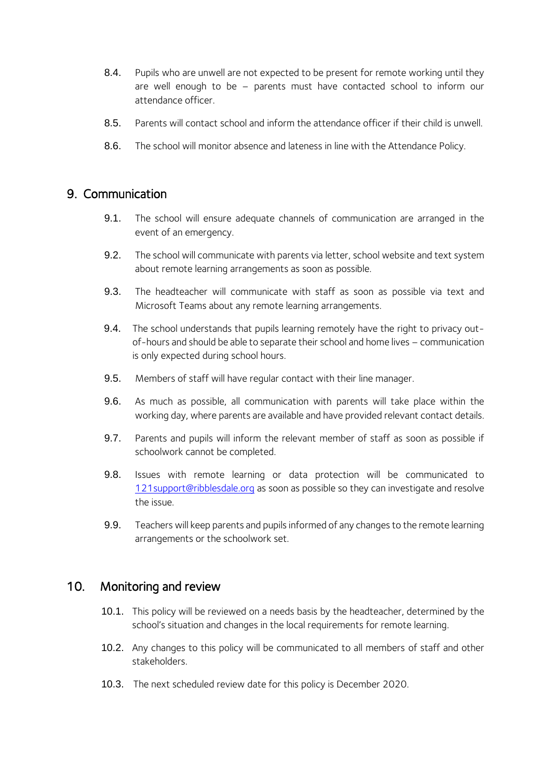- 8.4. Pupils who are unwell are not expected to be present for remote working until they are well enough to be – parents must have contacted school to inform our attendance officer.
- 8.5. Parents will contact school and inform the attendance officer if their child is unwell.
- 8.6. The school will monitor absence and lateness in line with the Attendance Policy.

#### <span id="page-11-0"></span>9. Communication

- 9.1. The school will ensure adequate channels of communication are arranged in the event of an emergency.
- 9.2. The school will communicate with parents via letter, school website and text system about remote learning arrangements as soon as possible.
- 9.3. The headteacher will communicate with staff as soon as possible via text and Microsoft Teams about any remote learning arrangements.
- 9.4. The school understands that pupils learning remotely have the right to privacy outof-hours and should be able to separate their school and home lives – communication is only expected during school hours.
- 9.5. Members of staff will have regular contact with their line manager.
- 9.6. As much as possible, all communication with parents will take place within the working day, where parents are available and have provided relevant contact details.
- 9.7. Parents and pupils will inform the relevant member of staff as soon as possible if schoolwork cannot be completed.
- 9.8. Issues with remote learning or data protection will be communicated to [121support@ribblesdale.org](mailto:121support@ribblesdale.org) as soon as possible so they can investigate and resolve the issue.
- 9.9. Teachers will keep parents and pupils informed of any changes to the remote learning arrangements or the schoolwork set.

#### <span id="page-11-1"></span>10. Monitoring and review

- 10.1. This policy will be reviewed on a needs basis by the headteacher, determined by the school's situation and changes in the local requirements for remote learning.
- 10.2. Any changes to this policy will be communicated to all members of staff and other stakeholders.
- 10.3. The next scheduled review date for this policy is December 2020.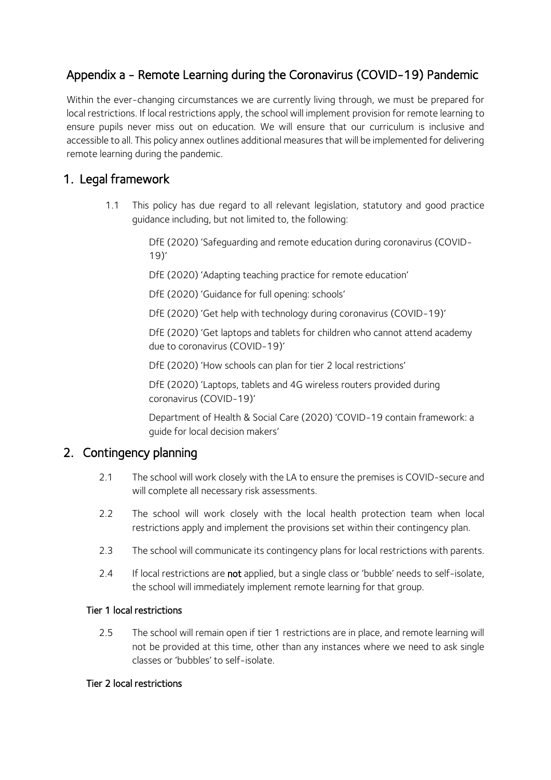# <span id="page-12-0"></span>Appendix a - Remote Learning during the Coronavirus (COVID-19) Pandemic

Within the ever-changing circumstances we are currently living through, we must be prepared for local restrictions. If local restrictions apply, the school will implement provision for remote learning to ensure pupils never miss out on education. We will ensure that our curriculum is inclusive and accessible to all. This policy annex outlines additional measures that will be implemented for delivering remote learning during the pandemic.

# 1. Legal framework

1.1 This policy has due regard to all relevant legislation, statutory and good practice guidance including, but not limited to, the following:

> DfE (2020) 'Safeguarding and remote education during coronavirus (COVID-19)'

DfE (2020) 'Adapting teaching practice for remote education'

DfE (2020) 'Guidance for full opening: schools'

DfE (2020) 'Get help with technology during coronavirus (COVID-19)'

DfE (2020) 'Get laptops and tablets for children who cannot attend academy due to coronavirus (COVID-19)'

DfE (2020) 'How schools can plan for tier 2 local restrictions'

DfE (2020) 'Laptops, tablets and 4G wireless routers provided during coronavirus (COVID-19)'

Department of Health & Social Care (2020) 'COVID-19 contain framework: a guide for local decision makers'

# 2. Contingency planning

- 2.1 The school will work closely with the LA to ensure the premises is COVID-secure and will complete all necessary risk assessments.
- 2.2 The school will work closely with the local health protection team when local restrictions apply and implement the provisions set within their contingency plan.
- 2.3 The school will communicate its contingency plans for local restrictions with parents.
- 2.4 If local restrictions are not applied, but a single class or 'bubble' needs to self-isolate, the school will immediately implement remote learning for that group.

#### Tier 1 local restrictions

2.5 The school will remain open if tier 1 restrictions are in place, and remote learning will not be provided at this time, other than any instances where we need to ask single classes or 'bubbles' to self-isolate.

#### Tier 2 local restrictions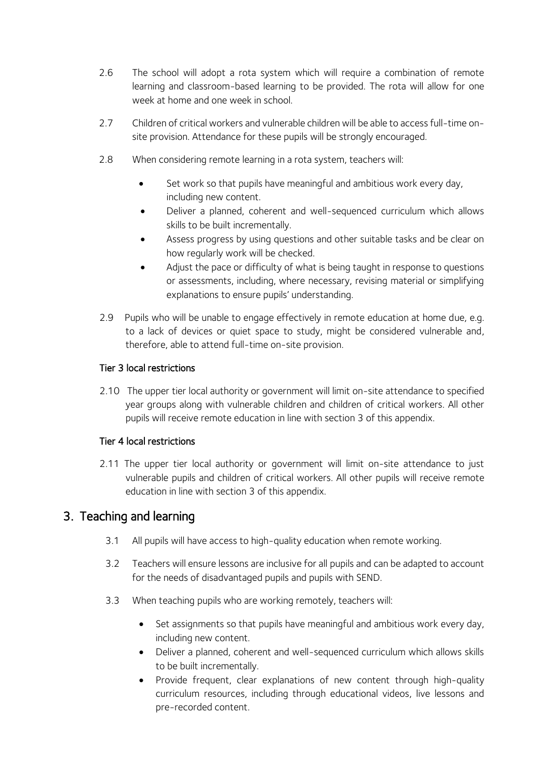- 2.6 The school will adopt a rota system which will require a combination of remote learning and classroom-based learning to be provided. The rota will allow for one week at home and one week in school.
- 2.7 Children of critical workers and vulnerable children will be able to access full-time onsite provision. Attendance for these pupils will be strongly encouraged.
- 2.8 When considering remote learning in a rota system, teachers will:
	- Set work so that pupils have meaningful and ambitious work every day, including new content.
	- Deliver a planned, coherent and well-sequenced curriculum which allows skills to be built incrementally.
	- Assess progress by using questions and other suitable tasks and be clear on how regularly work will be checked.
	- Adjust the pace or difficulty of what is being taught in response to questions or assessments, including, where necessary, revising material or simplifying explanations to ensure pupils' understanding.
- 2.9 Pupils who will be unable to engage effectively in remote education at home due, e.g. to a lack of devices or quiet space to study, might be considered vulnerable and, therefore, able to attend full-time on-site provision.

#### Tier 3 local restrictions

2.10 The upper tier local authority or government will limit on-site attendance to specified year groups along with vulnerable children and children of critical workers. All other pupils will receive remote education in line with section 3 of this appendix.

#### Tier 4 local restrictions

2.11 The upper tier local authority or government will limit on-site attendance to just vulnerable pupils and children of critical workers. All other pupils will receive remote education in line with section 3 of this appendix.

### 3. Teaching and learning

- 3.1 All pupils will have access to high-quality education when remote working.
- 3.2 Teachers will ensure lessons are inclusive for all pupils and can be adapted to account for the needs of disadvantaged pupils and pupils with SEND.
- 3.3 When teaching pupils who are working remotely, teachers will:
	- Set assignments so that pupils have meaningful and ambitious work every day, including new content.
	- Deliver a planned, coherent and well-sequenced curriculum which allows skills to be built incrementally.
	- Provide frequent, clear explanations of new content through high-quality curriculum resources, including through educational videos, live lessons and pre-recorded content.